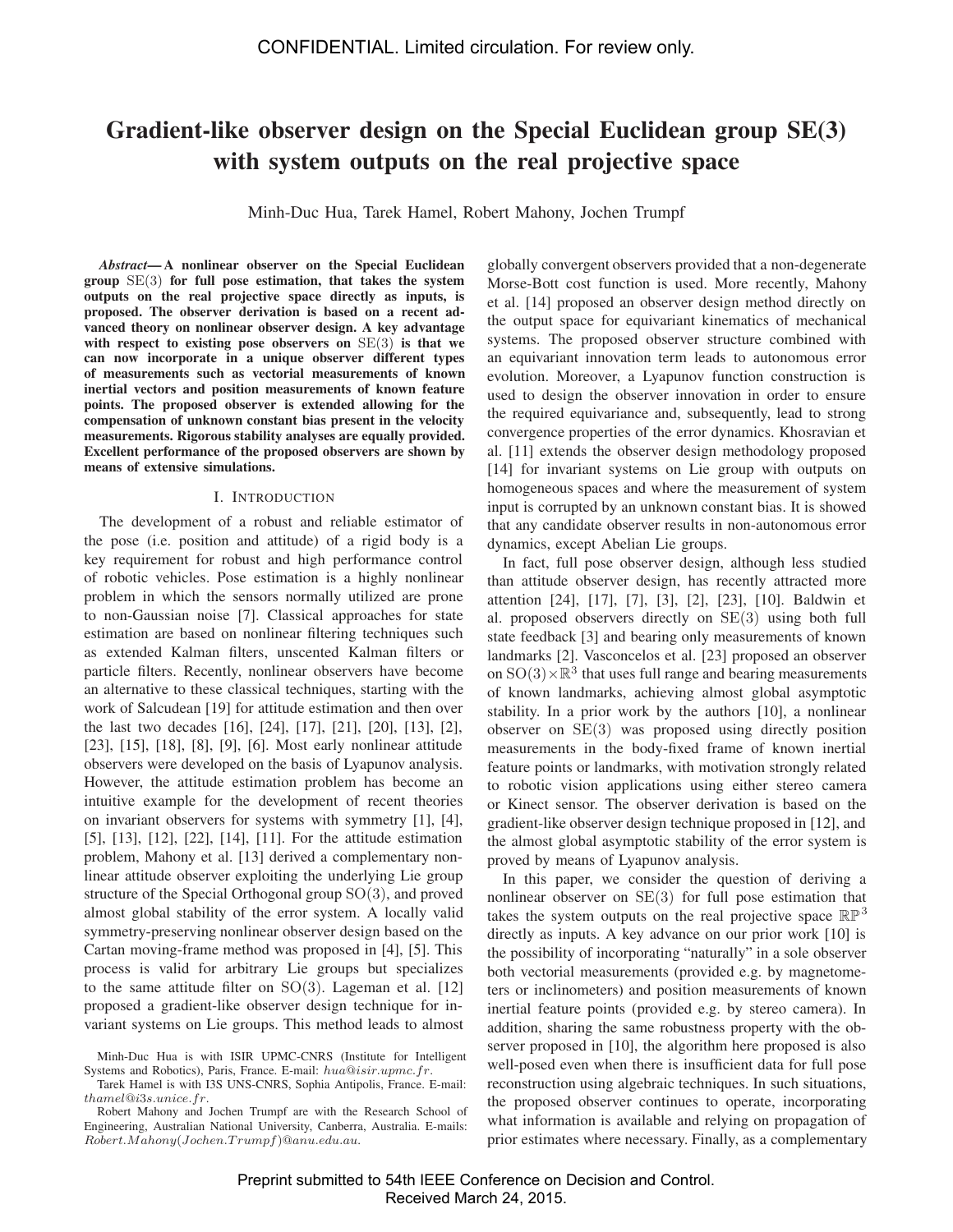# **Gradient-like observer design on the Special Euclidean group SE(3) with system outputs on the real projective space**

Minh-Duc Hua, Tarek Hamel, Robert Mahony, Jochen Trumpf

*Abstract***— A nonlinear observer on the Special Euclidean group** SE(3) **for full pose estimation, that takes the system outputs on the real projective space directly as inputs, is proposed. The observer derivation is based on a recent advanced theory on nonlinear observer design. A key advantage with respect to existing pose observers on** SE(3) **is that we can now incorporate in a unique observer different types of measurements such as vectorial measurements of known inertial vectors and position measurements of known feature points. The proposed observer is extended allowing for the compensation of unknown constant bias present in the velocity measurements. Rigorous stability analyses are equally provided. Excellent performance of the proposed observers are shown by means of extensive simulations.**

## I. INTRODUCTION

The development of a robust and reliable estimator of the pose (i.e. position and attitude) of a rigid body is a key requirement for robust and high performance control of robotic vehicles. Pose estimation is a highly nonlinear problem in which the sensors normally utilized are prone to non-Gaussian noise [7]. Classical approaches for state estimation are based on nonlinear filtering techniques such as extended Kalman filters, unscented Kalman filters or particle filters. Recently, nonlinear observers have become an alternative to these classical techniques, starting with the work of Salcudean [19] for attitude estimation and then over the last two decades [16], [24], [17], [21], [20], [13], [2], [23], [15], [18], [8], [9], [6]. Most early nonlinear attitude observers were developed on the basis of Lyapunov analysis. However, the attitude estimation problem has become an intuitive example for the development of recent theories on invariant observers for systems with symmetry [1], [4], [5], [13], [12], [22], [14], [11]. For the attitude estimation problem, Mahony et al. [13] derived a complementary nonlinear attitude observer exploiting the underlying Lie group structure of the Special Orthogonal group SO(3), and proved almost global stability of the error system. A locally valid symmetry-preserving nonlinear observer design based on the Cartan moving-frame method was proposed in [4], [5]. This process is valid for arbitrary Lie groups but specializes to the same attitude filter on  $SO(3)$ . Lageman et al. [12] proposed a gradient-like observer design technique for invariant systems on Lie groups. This method leads to almost globally convergent observers provided that a non-degenerate Morse-Bott cost function is used. More recently, Mahony et al. [14] proposed an observer design method directly on the output space for equivariant kinematics of mechanical systems. The proposed observer structure combined with an equivariant innovation term leads to autonomous error evolution. Moreover, a Lyapunov function construction is used to design the observer innovation in order to ensure the required equivariance and, subsequently, lead to strong convergence properties of the error dynamics. Khosravian et al. [11] extends the observer design methodology proposed [14] for invariant systems on Lie group with outputs on homogeneous spaces and where the measurement of system input is corrupted by an unknown constant bias. It is showed that any candidate observer results in non-autonomous error dynamics, except Abelian Lie groups.

In fact, full pose observer design, although less studied than attitude observer design, has recently attracted more attention [24], [17], [7], [3], [2], [23], [10]. Baldwin et al. proposed observers directly on SE(3) using both full state feedback [3] and bearing only measurements of known landmarks [2]. Vasconcelos et al. [23] proposed an observer on  $SO(3) \times \mathbb{R}^3$  that uses full range and bearing measurements of known landmarks, achieving almost global asymptotic stability. In a prior work by the authors [10], a nonlinear observer on SE(3) was proposed using directly position measurements in the body-fixed frame of known inertial feature points or landmarks, with motivation strongly related to robotic vision applications using either stereo camera or Kinect sensor. The observer derivation is based on the gradient-like observer design technique proposed in [12], and the almost global asymptotic stability of the error system is proved by means of Lyapunov analysis.

In this paper, we consider the question of deriving a nonlinear observer on  $SE(3)$  for full pose estimation that takes the system outputs on the real projective space  $\mathbb{RP}^3$ directly as inputs. A key advance on our prior work [10] is the possibility of incorporating "naturally" in a sole observer both vectorial measurements (provided e.g. by magnetometers or inclinometers) and position measurements of known inertial feature points (provided e.g. by stereo camera). In addition, sharing the same robustness property with the observer proposed in [10], the algorithm here proposed is also well-posed even when there is insufficient data for full pose reconstruction using algebraic techniques. In such situations, the proposed observer continues to operate, incorporating what information is available and relying on propagation of prior estimates where necessary. Finally, as a complementary

Minh-Duc Hua is with ISIR UPMC-CNRS (Institute for Intelligent Systems and Robotics), Paris, France. E-mail: *hua*@*isir.upmc.fr*.

Tarek Hamel is with I3S UNS-CNRS, Sophia Antipolis, France. E-mail: *thamel*@*i*3*s.unice.fr*.

Robert Mahony and Jochen Trumpf are with the Research School of Engineering, Australian National University, Canberra, Australia. E-mails: *Robert.Mahony*(*Jochen.T rumpf*)@*anu.edu.au*.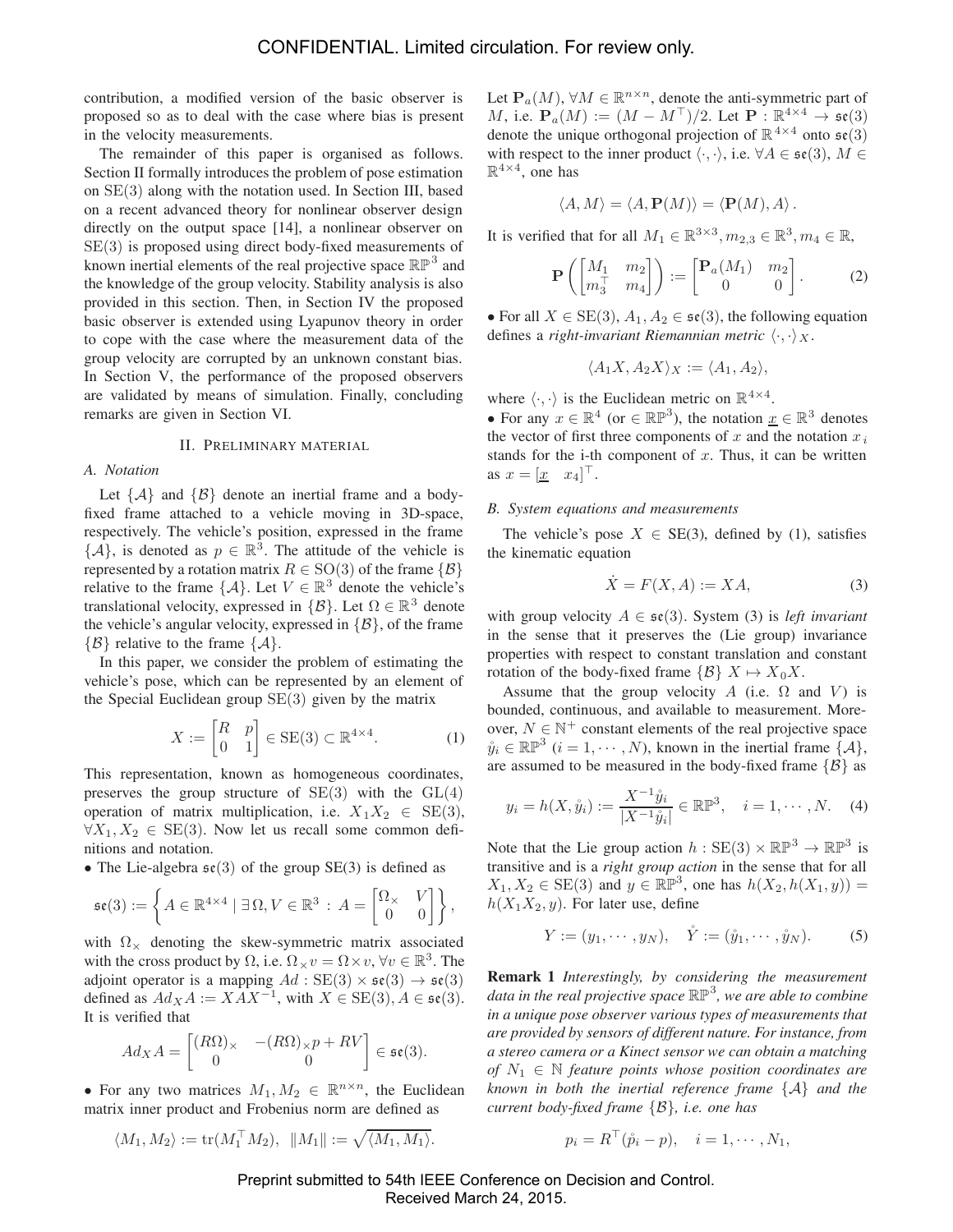contribution, a modified version of the basic observer is proposed so as to deal with the case where bias is present in the velocity measurements.

The remainder of this paper is organised as follows. Section II formally introduces the problem of pose estimation on SE(3) along with the notation used. In Section III, based on a recent advanced theory for nonlinear observer design directly on the output space [14], a nonlinear observer on SE(3) is proposed using direct body-fixed measurements of known inertial elements of the real projective space  $\mathbb{RP}^3$  and the knowledge of the group velocity. Stability analysis is also provided in this section. Then, in Section IV the proposed basic observer is extended using Lyapunov theory in order to cope with the case where the measurement data of the group velocity are corrupted by an unknown constant bias. In Section V, the performance of the proposed observers are validated by means of simulation. Finally, concluding remarks are given in Section VI.

## II. PRELIMINARY MATERIAL

## *A. Notation*

Let  $\{A\}$  and  $\{B\}$  denote an inertial frame and a bodyfixed frame attached to a vehicle moving in 3D-space, respectively. The vehicle's position, expressed in the frame  $\{\mathcal{A}\},$  is denoted as  $p \in \mathbb{R}^3$ . The attitude of the vehicle is represented by a rotation matrix  $R \in SO(3)$  of the frame  $\{ \mathcal{B} \}$ relative to the frame  $\{\mathcal{A}\}\$ . Let  $V \in \mathbb{R}^3$  denote the vehicle's translational velocity, expressed in  $\{\mathcal{B}\}\text{.}$  Let  $\Omega \in \mathbb{R}^3$  denote the vehicle's angular velocity, expressed in  $\{\mathcal{B}\}\,$ , of the frame  $\{\beta\}$  relative to the frame  $\{\mathcal{A}\}.$ 

In this paper, we consider the problem of estimating the vehicle's pose, which can be represented by an element of the Special Euclidean group  $SE(3)$  given by the matrix

$$
X := \begin{bmatrix} R & p \\ 0 & 1 \end{bmatrix} \in \text{SE}(3) \subset \mathbb{R}^{4 \times 4}.
$$
 (1)

This representation, known as homogeneous coordinates, preserves the group structure of  $SE(3)$  with the  $GL(4)$ operation of matrix multiplication, i.e.  $X_1X_2 \in \text{SE}(3)$ ,  $\forall X_1, X_2 \in \text{SE}(3)$ . Now let us recall some common definitions and notation.

• The Lie-algebra  $\mathfrak{se}(3)$  of the group SE(3) is defined as

$$
\mathfrak{se}(3) := \left\{ A \in \mathbb{R}^{4 \times 4} \mid \exists \, \Omega, V \in \mathbb{R}^3 \, : \, A = \begin{bmatrix} \Omega_{\times} & V \\ 0 & 0 \end{bmatrix} \right\},\,
$$

with  $\Omega_{\times}$  denoting the skew-symmetric matrix associated with the cross product by  $\Omega$ , i.e.  $\Omega \times v = \Omega \times v$ ,  $\forall v \in \mathbb{R}^3$ . The adjoint operator is a mapping  $Ad : SE(3) \times \mathfrak{se}(3) \rightarrow \mathfrak{se}(3)$ defined as  $Ad_X A := XAX^{-1}$ , with  $X \in SE(3)$ ,  $A \in \mathfrak{se}(3)$ . It is verified that

$$
Ad_X A = \begin{bmatrix} (R\Omega)_\times & -(R\Omega)_\times p + RV \\ 0 & 0 \end{bmatrix} \in \mathfrak{se}(3).
$$

• For any two matrices  $M_1, M_2 \in \mathbb{R}^{n \times n}$ , the Euclidean matrix inner product and Frobenius norm are defined as

$$
\langle M_1, M_2 \rangle := \text{tr}(M_1^\top M_2), \ \ \|M_1\| := \sqrt{\langle M_1, M_1 \rangle}.
$$

Let  $P_a(M)$ ,  $\forall M \in \mathbb{R}^{n \times n}$ , denote the anti-symmetric part of M, i.e.  $\mathbf{P}_a(M) := (M - M^{\top})/2$ . Let  $\mathbf{P} : \mathbb{R}^{4 \times 4} \to \mathfrak{se}(3)$ denote the unique orthogonal projection of  $\mathbb{R}^{4\times4}$  onto  $\mathfrak{se}(3)$ with respect to the inner product  $\langle \cdot, \cdot \rangle$ , i.e.  $\forall A \in \mathfrak{se}(3), M \in$  $\mathbb{R}^{4\times4}$ , one has

$$
\langle A, M \rangle = \langle A, \mathbf{P}(M) \rangle = \langle \mathbf{P}(M), A \rangle.
$$

It is verified that for all  $M_1 \in \mathbb{R}^{3 \times 3}$ ,  $m_{2,3} \in \mathbb{R}^3$ ,  $m_4 \in \mathbb{R}$ ,

$$
\mathbf{P}\left(\begin{bmatrix} M_1 & m_2 \\ m_3^\top & m_4 \end{bmatrix}\right) := \begin{bmatrix} \mathbf{P}_a(M_1) & m_2 \\ 0 & 0 \end{bmatrix}.
$$
 (2)

• For all  $X \in SE(3)$ ,  $A_1, A_2 \in \mathfrak{se}(3)$ , the following equation defines a *right-invariant Riemannian metric*  $\langle \cdot, \cdot \rangle_X$ .

$$
\langle A_1X, A_2X \rangle_X := \langle A_1, A_2 \rangle,
$$

where  $\langle \cdot, \cdot \rangle$  is the Euclidean metric on  $\mathbb{R}^{4 \times 4}$ .

• For any  $x \in \mathbb{R}^4$  (or  $\in \mathbb{RP}^3$ ), the notation  $\underline{x} \in \mathbb{R}^3$  denotes the vector of first three components of  $x$  and the notation  $x_i$ stands for the i-th component of  $x$ . Thus, it can be written as  $x = \begin{bmatrix} x & x_4 \end{bmatrix}^\top$ .

#### *B. System equations and measurements*

The vehicle's pose  $X \in SE(3)$ , defined by (1), satisfies the kinematic equation

$$
\dot{X} = F(X, A) := XA,\tag{3}
$$

with group velocity  $A \in \mathfrak{se}(3)$ . System (3) is *left invariant* in the sense that it preserves the (Lie group) invariance properties with respect to constant translation and constant rotation of the body-fixed frame  $\{B\}$   $X \mapsto X_0 X$ .

Assume that the group velocity A (i.e.  $\Omega$  and V) is bounded, continuous, and available to measurement. Moreover,  $N \in \mathbb{N}^+$  constant elements of the real projective space  $\mathring{y}_i \in \mathbb{RP}^3$   $(i = 1, \cdots, N)$ , known in the inertial frame  $\{A\}$ , are assumed to be measured in the body-fixed frame  $\{B\}$  as

$$
y_i = h(X, \mathring{y}_i) := \frac{X^{-1} \mathring{y}_i}{|X^{-1} \mathring{y}_i|} \in \mathbb{RP}^3, \quad i = 1, \cdots, N. \quad (4)
$$

Note that the Lie group action  $h : SE(3) \times \mathbb{RP}^3 \to \mathbb{RP}^3$  is transitive and is a *right group action* in the sense that for all  $X_1, X_2 \in \text{SE}(3)$  and  $y \in \mathbb{RP}^3$ , one has  $h(X_2, h(X_1, y)) =$  $h(X_1X_2, y)$ . For later use, define

$$
Y := (y_1, \cdots, y_N), \quad \mathring{Y} := (\mathring{y}_1, \cdots, \mathring{y}_N). \tag{5}
$$

**Remark 1** *Interestingly, by considering the measurement data in the real projective space* RP<sup>3</sup>*, we are able to combine in a unique pose observer various types of measurements that are provided by sensors of different nature. For instance, from a stereo camera or a Kinect sensor we can obtain a matching of*  $N_1 \in \mathbb{N}$  *feature points whose position coordinates are known in both the inertial reference frame* {A} *and the current body-fixed frame* {B}*, i.e. one has*

$$
p_i = R^{\top}(\mathring{p}_i - p), \quad i = 1, \cdots, N_1,
$$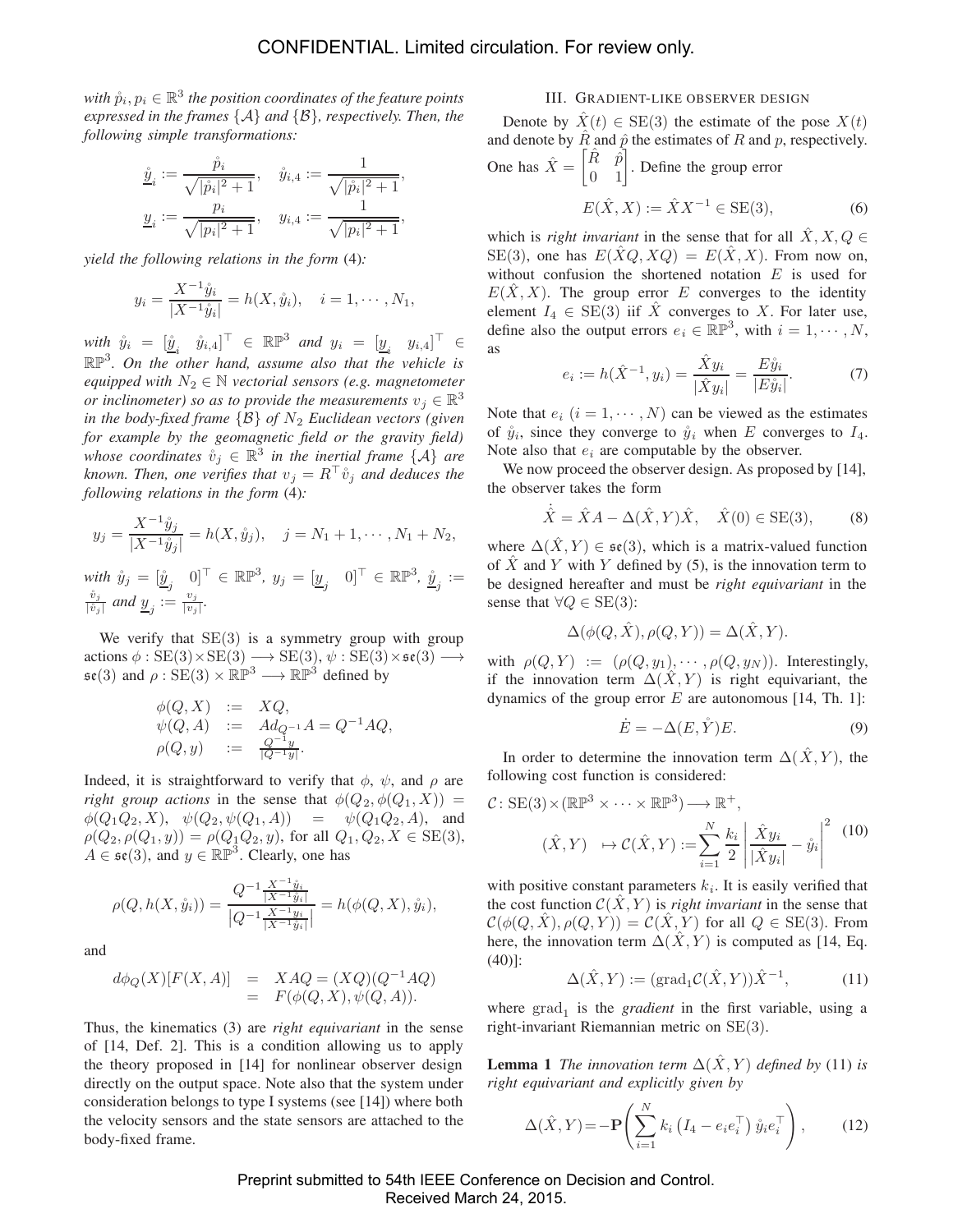*with*  $\hat{p}_i, p_i \in \mathbb{R}^3$  *the position coordinates of the feature points expressed in the frames* {A} *and* {B}*, respectively. Then, the following simple transformations:*

$$
\begin{aligned} \underline{\mathring{y}}_i &:= \frac{\mathring{p}_i}{\sqrt{|\mathring{p}_i|^2+1}}, \quad \mathring{y}_{i,4} := \frac{1}{\sqrt{|\mathring{p}_i|^2+1}}, \\ \underline{y}_i &:= \frac{p_i}{\sqrt{|p_i|^2+1}}, \quad y_{i,4} := \frac{1}{\sqrt{|p_i|^2+1}}, \end{aligned}
$$

*yield the following relations in the form* (4)*:*

$$
y_i = \frac{X^{-1}\hat{y}_i}{|X^{-1}\hat{y}_i|} = h(X, \hat{y}_i), \quad i = 1, \dots, N_1,
$$

 $\begin{array}{rcl}\text{with} & \mathring{y}_i = \begin{bmatrix} \mathring{y}_i & \mathring{y}_{i,4} \end{bmatrix}^\top \in \mathbb{RP}^3 \text{ and } y_i = \begin{bmatrix} y_i & y_{i,4} \end{bmatrix}^\top \in \mathbb{CP}^3.$ RP3*. On the other hand, assume also that the vehicle is equipped with*  $N_2 \in \mathbb{N}$  *vectorial sensors (e.g. magnetometer or inclinometer) so as to provide the measurements*  $v_j \in \mathbb{R}^3$ *in the body-fixed frame*  $\{B\}$  *of*  $N_2$  *Euclidean vectors (given for example by the geomagnetic field or the gravity field) whose coordinates*  $\mathring{v}_j \in \mathbb{R}^3$  *in the inertial frame*  $\{A\}$  *are* known. Then, one verifies that  $v_j = R^{\top} \mathring{v}_j$  and deduces the *following relations in the form* (4)*:*

$$
y_j = \frac{X^{-1}\mathring{y}_j}{|X^{-1}\mathring{y}_j|} = h(X, \mathring{y}_j), \quad j = N_1 + 1, \cdots, N_1 + N_2,
$$

 ${\mathcal{W}}$   $\dot y_j = [\dot {\underline y}_j \quad 0]^\top \in \mathbb{RP}^3, \ y_j = [{\underline y}_j \quad 0]^\top \in \mathbb{RP}^3, \ \dot {\underline y}_j :=$  $\frac{\dot{v}_j}{|\dot{v}_j|}$  and  $\underline{y}_j := \frac{v_j}{|v_j|}$ .

We verify that  $SE(3)$  is a symmetry group with group actions  $\phi : \text{SE}(3) \times \text{SE}(3) \longrightarrow \text{SE}(3), \psi : \text{SE}(3) \times \mathfrak{se}(3) \longrightarrow$  $\mathfrak{se}(3)$  and  $\rho : \overline{\text{SE}}(3) \times \mathbb{RP}^3 \longrightarrow \mathbb{RP}^3$  defined by

$$
\begin{array}{rcl}\n\phi(Q,X) & := & XQ, \\
\psi(Q,A) & := & Ad_{Q^{-1}}A = Q^{-1}AQ, \\
\rho(Q,y) & := & \frac{Q^{-1}y}{|Q^{-1}y|}.\n\end{array}
$$

Indeed, it is straightforward to verify that  $\phi$ ,  $\psi$ , and  $\rho$  are *right group actions* in the sense that  $\phi(Q_2, \phi(Q_1, X))$  =  $\phi(Q_1Q_2, X), \psi(Q_2, \psi(Q_1, A)) = \psi(Q_1Q_2, A),$  and  $\rho(Q_2, \rho(Q_1, y)) = \rho(Q_1 Q_2, y)$ , for all  $Q_1, Q_2, X \in SE(3)$ ,  $A \in \mathfrak{se}(3)$ , and  $y \in \mathbb{RP}^3$ . Clearly, one has

$$
\rho(Q, h(X, \mathring{y}_i)) = \frac{Q^{-1} \frac{X^{-1} \mathring{y}_i}{|X^{-1} \mathring{y}_i|}}{|Q^{-1} \frac{X^{-1} y_i}{|X^{-1} \mathring{y}_i|}|} = h(\phi(Q, X), \mathring{y}_i),
$$

and

$$
d\phi_Q(X)[F(X,A)] = XAQ = (XQ)(Q^{-1}AQ)
$$
  
=  $F(\phi(Q, X), \psi(Q, A)).$ 

Thus, the kinematics (3) are *right equivariant* in the sense of [14, Def. 2]. This is a condition allowing us to apply the theory proposed in [14] for nonlinear observer design directly on the output space. Note also that the system under consideration belongs to type I systems (see [14]) where both the velocity sensors and the state sensors are attached to the body-fixed frame.

## III. GRADIENT-LIKE OBSERVER DESIGN

Denote by  $\hat{X}(t) \in \text{SE}(3)$  the estimate of the pose  $X(t)$ and denote by  $\hat{R}$  and  $\hat{p}$  the estimates of R and p, respectively.

One has 
$$
\hat{X} = \begin{bmatrix} \hat{R} & \hat{p} \\ 0 & 1 \end{bmatrix}
$$
. Define the group error  

$$
E(\hat{X}, X) := \hat{X}X^{-1} \in \text{SE}(3),
$$
 (6)

which is *right invariant* in the sense that for all  $X, X, Q \in$ SE(3), one has  $E(\hat{X}Q, XQ) = E(\hat{X}, X)$ . From now on, without confusion the shortened notation  $E$  is used for  $E(\hat{X}, X)$ . The group error E converges to the identity element  $I_4 \in SE(3)$  iif X converges to X. For later use, define also the output errors  $e_i \in \mathbb{RP}^3$ , with  $i = 1, \dots, N$ , as

$$
e_i := h(\hat{X}^{-1}, y_i) = \frac{\hat{X}y_i}{|\hat{X}y_i|} = \frac{E\mathring{y}_i}{|E\mathring{y}_i|}.
$$
 (7)

Note that  $e_i$   $(i = 1, \dots, N)$  can be viewed as the estimates of  $\hat{y}_i$ , since they converge to  $\hat{y}_i$  when E converges to  $I_4$ . Note also that  $e_i$  are computable by the observer.

We now proceed the observer design. As proposed by [14], the observer takes the form

$$
\dot{\hat{X}} = \hat{X}A - \Delta(\hat{X}, Y)\hat{X}, \quad \hat{X}(0) \in \text{SE}(3), \tag{8}
$$

where  $\Delta(\hat{X}, Y) \in \mathfrak{se}(3)$ , which is a matrix-valued function of  $\hat{X}$  and Y with Y defined by (5), is the innovation term to be designed hereafter and must be *right equivariant* in the sense that  $\forall Q \in SE(3)$ :

$$
\Delta(\phi(Q, \hat{X}), \rho(Q, Y)) = \Delta(\hat{X}, Y).
$$

with  $\rho(Q, Y) := (\rho(Q, y_1), \cdots, \rho(Q, y_N))$ . Interestingly, if the innovation term  $\Delta(\hat{X}, Y)$  is right equivariant, the dynamics of the group error  $E$  are autonomous [14, Th. 1]:

$$
\dot{E} = -\Delta(E, \mathring{Y})E. \tag{9}
$$

In order to determine the innovation term  $\Delta(\hat{X}, Y)$ , the following cost function is considered:

$$
\mathcal{C}: \text{SE}(3) \times (\mathbb{RP}^3 \times \dots \times \mathbb{RP}^3) \longrightarrow \mathbb{R}^+,
$$

$$
(\hat{X}, Y) \mapsto \mathcal{C}(\hat{X}, Y) := \sum_{i=1}^N \frac{k_i}{2} \left| \frac{\hat{X} y_i}{|\hat{X} y_i|} - \hat{y}_i \right|^2 \tag{10}
$$

with positive constant parameters  $k_i$ . It is easily verified that the cost function  $C(\hat{X}, Y)$  is *right invariant* in the sense that  $\mathcal{C}(\phi(Q, \hat{X}), \rho(Q, Y)) = \mathcal{C}(\hat{X}, Y)$  for all  $Q \in \text{SE}(3)$ . From here, the innovation term  $\Delta(\hat{X}, Y)$  is computed as [14, Eq. (40)]:

$$
\Delta(\hat{X}, Y) := (\text{grad}_1 \mathcal{C}(\hat{X}, Y)) \hat{X}^{-1}, \tag{11}
$$

where  $\text{grad}_1$  is the *gradient* in the first variable, using a right-invariant Riemannian metric on SE(3).

**Lemma 1** *The innovation term*  $\Delta(\hat{X}, Y)$  *defined by* (11) *is right equivariant and explicitly given by*

$$
\Delta(\hat{X}, Y) = -\mathbf{P}\left(\sum_{i=1}^{N} k_i \left(I_4 - e_i e_i^{\top}\right) \mathring{y}_i e_i^{\top}\right),\tag{12}
$$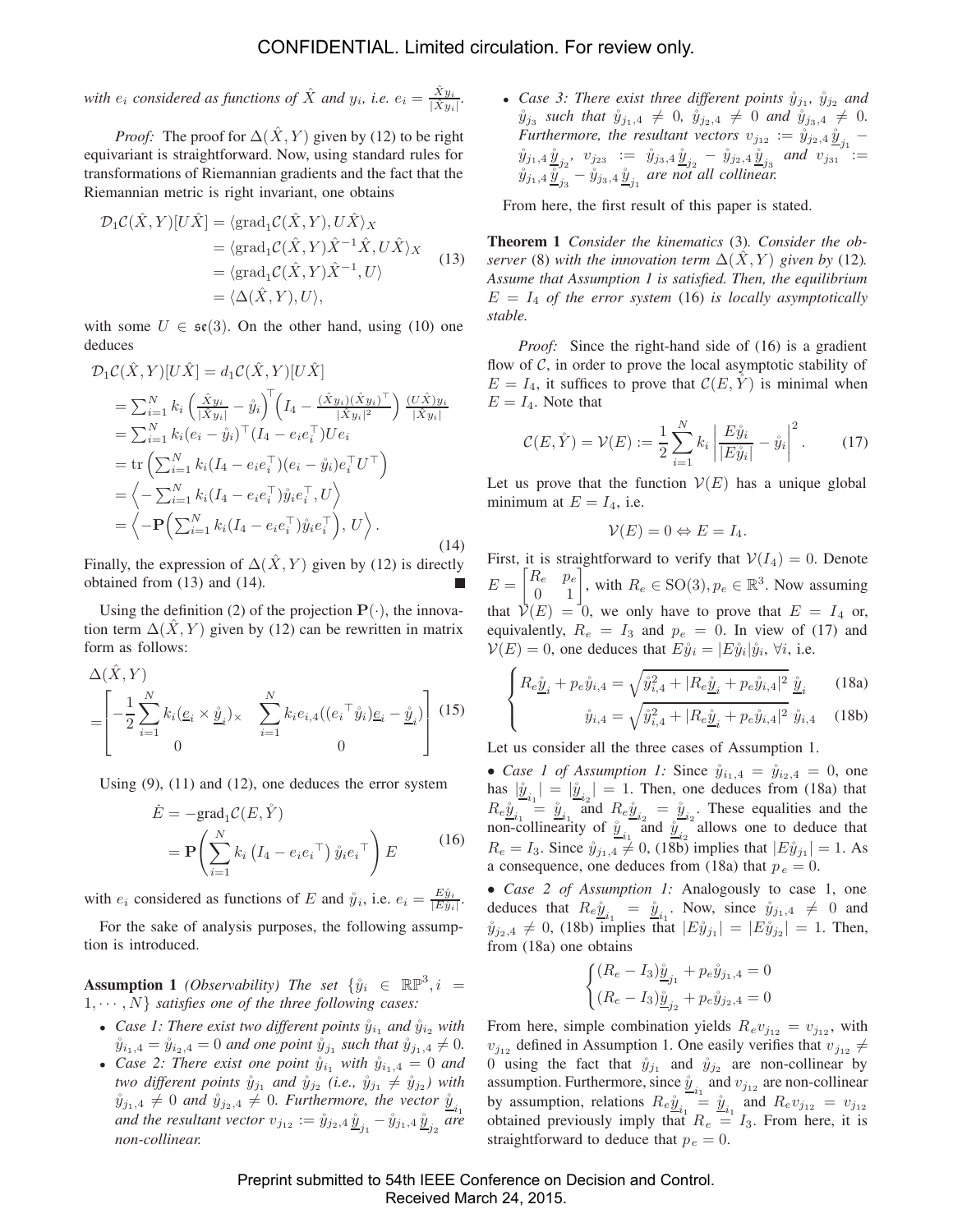*with*  $e_i$  *considered as functions of*  $\hat{X}$  *and*  $y_i$ *, i.e.*  $e_i = \frac{\hat{X}y_i}{|\hat{X}y_i|}$ .

*Proof:* The proof for  $\Delta(\hat{X}, Y)$  given by (12) to be right equivariant is straightforward. Now, using standard rules for transformations of Riemannian gradients and the fact that the Riemannian metric is right invariant, one obtains

$$
\mathcal{D}_1 \mathcal{C}(\hat{X}, Y)[U\hat{X}] = \langle \text{grad}_1 \mathcal{C}(\hat{X}, Y), U\hat{X} \rangle_X
$$
  
\n
$$
= \langle \text{grad}_1 \mathcal{C}(\hat{X}, Y)\hat{X}^{-1}\hat{X}, U\hat{X} \rangle_X
$$
  
\n
$$
= \langle \text{grad}_1 \mathcal{C}(\hat{X}, Y)\hat{X}^{-1}, U \rangle
$$
  
\n
$$
= \langle \Delta(\hat{X}, Y), U \rangle,
$$
 (13)

with some  $U \in \mathfrak{se}(3)$ . On the other hand, using (10) one deduces

$$
\mathcal{D}_{1}\mathcal{C}(\hat{X}, Y)[U\hat{X}] = d_{1}\mathcal{C}(\hat{X}, Y)[U\hat{X}] \n= \sum_{i=1}^{N} k_{i} \left(\frac{\hat{X}y_{i}}{|\hat{X}y_{i}|} - \hat{y}_{i}\right)^{\top} \left(I_{4} - \frac{(\hat{X}y_{i})(\hat{X}y_{i})^{\top}}{|\hat{X}y_{i}|^{2}}\right) \frac{(U\hat{X})y_{i}}{|\hat{X}y_{i}|} \n= \sum_{i=1}^{N} k_{i} (e_{i} - \hat{y}_{i})^{\top} (I_{4} - e_{i}e_{i}^{\top}) U e_{i} \n= \text{tr}\left(\sum_{i=1}^{N} k_{i} (I_{4} - e_{i}e_{i}^{\top})(e_{i} - \hat{y}_{i})e_{i}^{\top} U^{\top}\right) \n= \left\langle -\sum_{i=1}^{N} k_{i} (I_{4} - e_{i}e_{i}^{\top})\hat{y}_{i}e_{i}^{\top}, U\right\rangle \n= \left\langle -\mathbf{P}\left(\sum_{i=1}^{N} k_{i} (I_{4} - e_{i}e_{i}^{\top})\hat{y}_{i}e_{i}^{\top}\right), U\right\rangle.
$$
\n(14)

Finally, the expression of  $\Delta(\hat{X}, Y)$  given by (12) is directly obtained from (13) and (14).

Using the definition (2) of the projection  $P(\cdot)$ , the innovation term  $\Delta(X, Y)$  given by (12) can be rewritten in matrix form as follows:

$$
\Delta(\hat{X}, Y) = \left[ -\frac{1}{2} \sum_{i=1}^{N} k_i (\underline{e}_i \times \hat{\underline{y}}_i) \times \sum_{i=1}^{N} k_i e_{i,4} ((e_i^{\top} \hat{y}_i) \underline{e}_i - \hat{\underline{y}}_i) \right] (15)
$$

Using (9), (11) and (12), one deduces the error system

$$
\dot{E} = -\text{grad}_1 C(E, \dot{Y})
$$
  
=  $\mathbf{P} \left( \sum_{i=1}^N k_i \left( I_4 - e_i e_i^\top \right) \hat{y}_i e_i^\top \right) E$  (16)

with  $e_i$  considered as functions of E and  $\mathring{y}_i$ , i.e.  $e_i = \frac{E \mathring{y}_i}{|E \mathring{y}_i|}$ .

For the sake of analysis purposes, the following assumption is introduced.

**Assumption 1** *(Observability)* The set  $\{\hat{y}_i \in \mathbb{R} \mathbb{P}^3, i =$  $1, \cdots, N$  *satisfies one of the three following cases:* 

- *Case 1: There exist two different points*  $\hat{y}_{i_1}$  *and*  $\hat{y}_{i_2}$  *with*  $\mathring{y}_{i_1,4} = \mathring{y}_{i_2,4} = 0$  *and one point*  $\mathring{y}_{j_1}$  *such that*  $\mathring{y}_{j_1,4} \neq 0$ *.*
- *Case 2: There exist one point*  $\hat{y}_{i_1}$  *with*  $\hat{y}_{i_1,4} = 0$  *and two different points*  $\mathring{y}_{j_1}$  *and*  $\mathring{y}_{j_2}$  *(i.e.,*  $\mathring{y}_{j_1} \neq \mathring{y}_{j_2}$ *)* with  $\mathring{y}_{j_1,4} \neq 0$  and  $\mathring{y}_{j_2,4} \neq 0$ . Furthermore, the vector  $\mathring{y}_{j_1}$ *and the resultant vector*  $v_{j_{12}} := \mathring{y}_{j_2,4} \mathring{\underline{y}}_{j_1} - \mathring{y}_{j_1,4} \mathring{\underline{y}}_{j_2}$  *are non-collinear.*

• *Case 3: There exist three different points*  $\hat{y}_{j_1}$ ,  $\hat{y}_{j_2}$  *and*  $\hat{y}_{j_3}$  *such that*  $\hat{y}_{j_1,4} \neq 0$ ,  $\hat{y}_{j_2,4} \neq 0$  *and*  $\hat{y}_{j_3,4} \neq 0$ . *Furthermore, the resultant vectors*  $v_{j_{12}} := \tilde{y}_{j_2,4} \underline{\tilde{y}}_{j_1}$  –  $\hat{y}_{j_1,4}\hat{y}_{j_2}, v_{j_2,3} := \hat{y}_{j_3,4}\hat{y}_{j_2} - \hat{y}_{j_2,4}\hat{y}_{j_3}$  and  $v_{j_3,1} =$  $\hat{y}_{j_1,4}\,\hat{\underline{y}}_{j_3}^{\,j_2}$  –  $\hat{y}_{j_3,4}\,\hat{\underline{y}}_{j_1}$  are not all collinear.

From here, the first result of this paper is stated.

**Theorem 1** *Consider the kinematics* (3)*. Consider the observer* (8) *with the innovation term*  $\Delta(\hat{X}, Y)$  *given by* (12)*. Assume that Assumption 1 is satisfied. Then, the equilibrium*  $E = I_4$  *of the error system* (16) *is locally asymptotically stable.*

*Proof:* Since the right-hand side of (16) is a gradient flow of  $\mathcal{C}$ , in order to prove the local asymptotic stability of  $E = I_4$ , it suffices to prove that  $\mathcal{C}(E, \overset{\circ}{Y})$  is minimal when  $E = I_4$ . Note that

$$
\mathcal{C}(E, \mathring{Y}) = \mathcal{V}(E) := \frac{1}{2} \sum_{i=1}^{N} k_i \left| \frac{E \mathring{y}_i}{|E \mathring{y}_i|} - \mathring{y}_i \right|^2.
$$
 (17)

Let us prove that the function  $V(E)$  has a unique global minimum at  $E = I_4$ , i.e.

$$
\mathcal{V}(E) = 0 \Leftrightarrow E = I_4.
$$

First, it is straightforward to verify that  $V(I_4)=0$ . Denote  $E = \begin{bmatrix} R_e & p_e \\ 0 & 1 \end{bmatrix}$ , with  $R_e \in SO(3), p_e \in \mathbb{R}^3$ . Now assuming that  $\mathcal{V}(E)=0$ , we only have to prove that  $E = I_4$  or, equivalently,  $R_e = I_3$  and  $p_e = 0$ . In view of (17) and  $V(E)=0$ , one deduces that  $E\mathring{y}_i = |E\mathring{y}_i|\mathring{y}_i$ ,  $\forall i$ , i.e.

$$
\begin{cases} R_e \underline{\mathring{y}}_i + p_e \mathring{y}_{i,4} = \sqrt{\mathring{y}_{i,4}^2 + |R_e \underline{\mathring{y}}_i + p_e \mathring{y}_{i,4}|^2} \ \underline{\mathring{y}}_i & (18a) \\ \mathring{y}_{i,4} = \sqrt{\mathring{y}_{i,4}^2 + |R_e \underline{\mathring{y}}_i + p_e \mathring{y}_{i,4}|^2} \ \mathring{y}_{i,4} & (18b) \end{cases}
$$

Let us consider all the three cases of Assumption 1.

• *Case 1 of Assumption 1:* Since  $\ddot{y}_{i_1,4} = \dot{y}_{i_2,4} = 0$ , one has  $|\underline{\hat{y}}_{i_1}| = |\underline{\hat{y}}_{i_2}| = 1$ . Then, one deduces from (18a) that  $Re \underline{\hat{y}}_{i_1}^{i_1} = \underline{\hat{y}}_{i_1}^{i_2}$  and  $Re \underline{\hat{y}}_{i_2} = \underline{\hat{y}}_{i_2}$ . These equalities and the non-collinearity of  $\hat{y}_{i_1}^{i_2}$  and  $\hat{y}_{i_2}^{i_2}$  allows one to deduce that  $R_e = I_3$ . Since  $\mathring{y}_{j_1,4} \neq 0$ , (18b) implies that  $|E\mathring{y}_{j_1}| = 1$ . As a consequence, one deduces from (18a) that  $p_e = 0$ .

• *Case 2 of Assumption 1:* Analogously to case 1, one deduces that  $Re \hat{y}_{i_1} = \hat{y}_{i_1}$ . Now, since  $\hat{y}_{j_1,4} \neq 0$  and  $\hat{y}_{j_2,4} \neq 0$ , (18b) implies that  $|E\hat{y}_{j_1}| = |E\hat{y}_{j_2}| = 1$ . Then, from (18a) one obtains

$$
\begin{cases} (R_e - I_3) \underline{\mathring{y}}_{j_1} + p_e \mathring{y}_{j_1,4} = 0 \\ (R_e - I_3) \underline{\mathring{y}}_{j_2} + p_e \mathring{y}_{j_2,4} = 0 \end{cases}
$$

From here, simple combination yields  $R_e v_{j_{12}} = v_{j_{12}}$ , with  $v_{j_{12}}$  defined in Assumption 1. One easily verifies that  $v_{j_{12}} \neq$ 0 using the fact that  $\hat{y}_{j_1}$  and  $\hat{y}_{j_2}$  are non-collinear by assumption. Furthermore, since  $\hat{y}_{i_1}$  and  $v_{j_{12}}$  are non-collinear by assumption, relations  $R_e \hat{y}_{i_1} = \hat{y}_{i_1}$  and  $R_e v_{j_1} = v_{j_1}$ obtained previously imply that  $R_e = I_3$ . From here, it is straightforward to deduce that  $p_e = 0$ .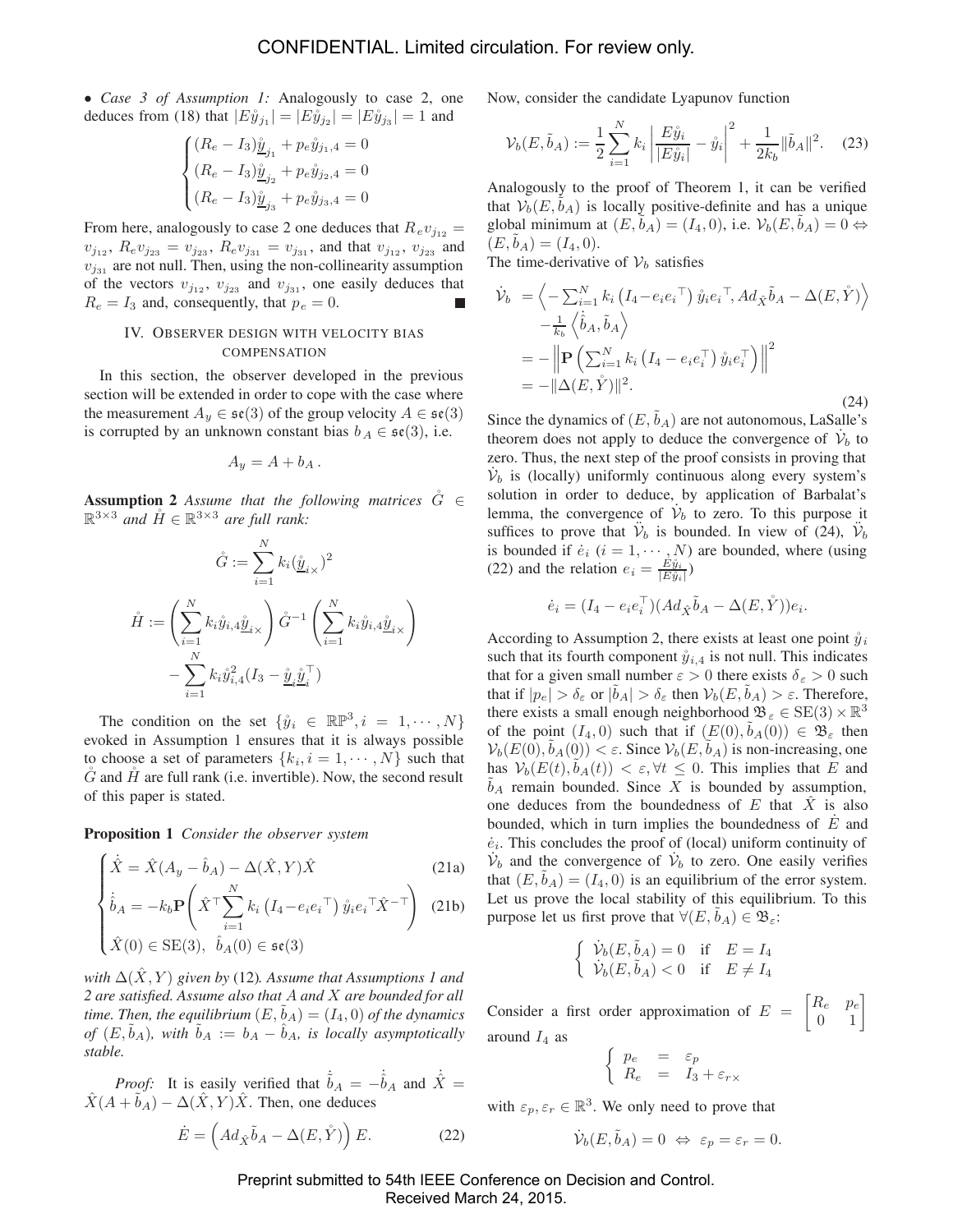• *Case 3 of Assumption 1:* Analogously to case 2, one deduces from (18) that  $|E\hat{y}_{j1}| = |E\hat{y}_{j2}| = |E\hat{y}_{j3}| = 1$  and

$$
\begin{cases} (R_e - I_3) \underline{\mathring{y}}_{j_1} + p_e \mathring{y}_{j_1,4} = 0 \\ (R_e - I_3) \underline{\mathring{y}}_{j_2} + p_e \mathring{y}_{j_2,4} = 0 \\ (R_e - I_3) \underline{\mathring{y}}_{j_3} + p_e \mathring{y}_{j_3,4} = 0 \end{cases}
$$

From here, analogously to case 2 one deduces that  $Re v_{j_{12}} =$  $v_{j_{12}}$ ,  $R_e v_{j_{23}} = v_{j_{23}}$ ,  $R_e v_{j_{31}} = v_{j_{31}}$ , and that  $v_{j_{12}}$ ,  $v_{j_{23}}$  and  $v_{j_{31}}$  are not null. Then, using the non-collinearity assumption of the vectors  $v_{j_{12}}$ ,  $v_{j_{23}}$  and  $v_{j_{31}}$ , one easily deduces that  $R_e = I_3$  and, consequently, that  $p_e = 0$ .

# IV. OBSERVER DESIGN WITH VELOCITY BIAS COMPENSATION

In this section, the observer developed in the previous section will be extended in order to cope with the case where the measurement  $A_y \in \mathfrak{se}(3)$  of the group velocity  $A \in \mathfrak{se}(3)$ is corrupted by an unknown constant bias  $b_A \in \mathfrak{se}(3)$ , i.e.

$$
A_y = A + b_A.
$$

**Assumption 2** *Assume that the following matrices*  $\ddot{G} \in$  $\mathbb{R}^{3\times3}$  *and*  $\mathring{H} \in \mathbb{R}^{3\times3}$  *are full rank:* 

$$
\hat{G} := \sum_{i=1}^{N} k_i (\underline{\hat{y}}_{i \times})^2
$$

$$
\hat{H} := \left(\sum_{i=1}^{N} k_i \hat{y}_{i,4} \underline{\hat{y}}_{i \times}\right) \hat{G}^{-1} \left(\sum_{i=1}^{N} k_i \hat{y}_{i,4} \underline{\hat{y}}_{i \times}\right)
$$

$$
-\sum_{i=1}^{N} k_i \hat{y}_{i,4}^2 (I_3 - \underline{\hat{y}}_i \underline{\hat{y}}_i^{\top})
$$

The condition on the set  $\{\mathring{y}_i \in \mathbb{RP}^3, i = 1, \cdots, N\}$ evoked in Assumption 1 ensures that it is always possible to choose a set of parameters  $\{k_i, i = 1, \dots, N\}$  such that  $\tilde{G}$  and  $\tilde{H}$  are full rank (i.e. invertible). Now, the second result of this paper is stated.

**Proposition 1** *Consider the observer system*

$$
\begin{cases}\n\dot{\hat{X}} = \hat{X}(A_y - \hat{b}_A) - \Delta(\hat{X}, Y)\hat{X} \tag{21a} \\
\dot{\hat{b}}_A = -k_b \mathbf{P} \left( \hat{X}^\top \sum_{i=1}^N k_i \left( I_4 - e_i e_i^\top \right) \hat{y}_i e_i^\top \hat{X}^{-\top} \right) \tag{21b}\n\end{cases}
$$

$$
\begin{cases} \n\hat{X}(0) \in \text{SE}(3), & \hat{b}_A(0) \in \mathfrak{se}(3) \n\end{cases}
$$

*with*  $\Delta(X, Y)$  *given by* (12)*. Assume that Assumptions 1 and 2 are satisfied. Assume also that* A *and* X *are bounded for all time. Then, the equilibrium*  $(E, b_A) = (I_4, 0)$  *of the dynamics of*  $(E, b_A)$ *, with*  $b_A := b_A - b_A$ *, is locally asymptotically stable.*

*Proof:* It is easily verified that  $\dot{b}_A = -\dot{b}_A$  and  $\dot{X} =$  $\hat{X}(A + \tilde{b}_A) - \Delta(\hat{X}, Y)\hat{X}$ . Then, one deduces

$$
\dot{E} = \left( Ad_{\hat{X}} \tilde{b}_A - \Delta(E, \mathring{Y}) \right) E. \tag{22}
$$

Now, consider the candidate Lyapunov function

$$
\mathcal{V}_b(E, \tilde{b}_A) := \frac{1}{2} \sum_{i=1}^N k_i \left| \frac{E\mathring{y}_i}{|E\mathring{y}_i|} - \mathring{y}_i \right|^2 + \frac{1}{2k_b} \|\tilde{b}_A\|^2. \tag{23}
$$

Analogously to the proof of Theorem 1, it can be verified that  $V_b(E, b_A)$  is locally positive-definite and has a unique global minimum at  $(E, b<sub>A</sub>)=(I<sub>4</sub>, 0)$ , i.e.  $\mathcal{V}_b(E, b<sub>A</sub>)=0 \Leftrightarrow$  $(E, b<sub>A</sub>)=(I<sub>4</sub>, 0).$ 

The time-derivative of  $V_b$  satisfies

$$
\dot{\mathcal{V}}_b = \left\langle -\sum_{i=1}^N k_i \left( I_4 - e_i e_i^\top \right) \hat{y}_i e_i^\top, Ad_{\hat{X}} \tilde{b}_A - \Delta(E, \hat{Y}) \right\rangle \n- \frac{1}{k_b} \left\langle \hat{b}_A, \tilde{b}_A \right\rangle \n= - \left\| \mathbf{P} \left( \sum_{i=1}^N k_i \left( I_4 - e_i e_i^\top \right) \hat{y}_i e_i^\top \right) \right\|^2 \n= - \|\Delta(E, \hat{Y})\|^2.
$$
\n(24)

Since the dynamics of  $(E, \tilde{b}_A)$  are not autonomous, LaSalle's theorem does not apply to deduce the convergence of  $\dot{\mathcal{V}}_b$  to zero. Thus, the next step of the proof consists in proving that  $\dot{\mathcal{V}}_b$  is (locally) uniformly continuous along every system's solution in order to deduce, by application of Barbalat's lemma, the convergence of  $\dot{\mathcal{V}}_b$  to zero. To this purpose it suffices to prove that  $V_b$  is bounded. In view of (24),  $V_b$ is bounded if  $\dot{e}_i$   $(i = 1, \dots, N)$  are bounded, where (using (22) and the relation  $e_i = \frac{E\hat{y}_i}{|E\hat{y}_i|}$ )

$$
\dot{e}_i = (I_4 - e_i e_i^\top)(Ad_{\hat{X}}\tilde{b}_A - \Delta(E,\mathring{Y}))e_i.
$$

According to Assumption 2, there exists at least one point  $\hat{y}_i$ such that its fourth component  $\hat{y}_{i,4}$  is not null. This indicates that for a given small number  $\varepsilon > 0$  there exists  $\delta_{\varepsilon} > 0$  such that if  $|p_e| > \delta_{\varepsilon}$  or  $|\tilde{b}_A| > \delta_{\varepsilon}$  then  $\mathcal{V}_b(E, \tilde{b}_A) > \varepsilon$ . Therefore, there exists a small enough neighborhood  $\mathfrak{B}_{\varepsilon} \in \text{SE}(3) \times \mathbb{R}^3$ of the point  $(I_4, 0)$  such that if  $(E(0), b<sub>A</sub>(0)) \in \mathfrak{B}_{\varepsilon}$  then  $V_b(E(0), b_A(0)) < \varepsilon$ . Since  $V_b(E, b_A)$  is non-increasing, one has  $V_b(E(t), \tilde{b}_A(t)) < \varepsilon, \forall t \leq 0$ . This implies that E and  $b_A$  remain bounded. Since X is bounded by assumption, one deduces from the boundedness of  $E$  that  $\overline{X}$  is also bounded, which in turn implies the boundedness of  $E$  and  $\dot{e}_i$ . This concludes the proof of (local) uniform continuity of  $\dot{\mathcal{V}}_b$  and the convergence of  $\dot{\mathcal{V}}_b$  to zero. One easily verifies that  $(E, \tilde{b}_A) = (I_4, 0)$  is an equilibrium of the error system. Let us prove the local stability of this equilibrium. To this purpose let us first prove that  $\forall (E, \tilde{b}_A) \in \mathfrak{B}_{\varepsilon}$ :

$$
\begin{cases} \n\dot{\mathcal{V}}_b(E, \tilde{b}_A) = 0 & \text{if } E = I_4 \\ \n\dot{\mathcal{V}}_b(E, \tilde{b}_A) < 0 & \text{if } E \neq I_4 \n\end{cases}
$$

Consider a first order approximation of  $E = \begin{bmatrix} R_e & p_e \\ 0 & 1 \end{bmatrix}$ around  $I_4$  as

$$
\left\{ \begin{array}{rcl} p_e & = & \varepsilon_p \\ R_e & = & I_3 + \varepsilon_{r \times} \end{array} \right.
$$

with  $\varepsilon_p, \varepsilon_r \in \mathbb{R}^3$ . We only need to prove that

$$
\dot{\mathcal{V}}_b(E, \tilde{b}_A) = 0 \iff \varepsilon_p = \varepsilon_r = 0.
$$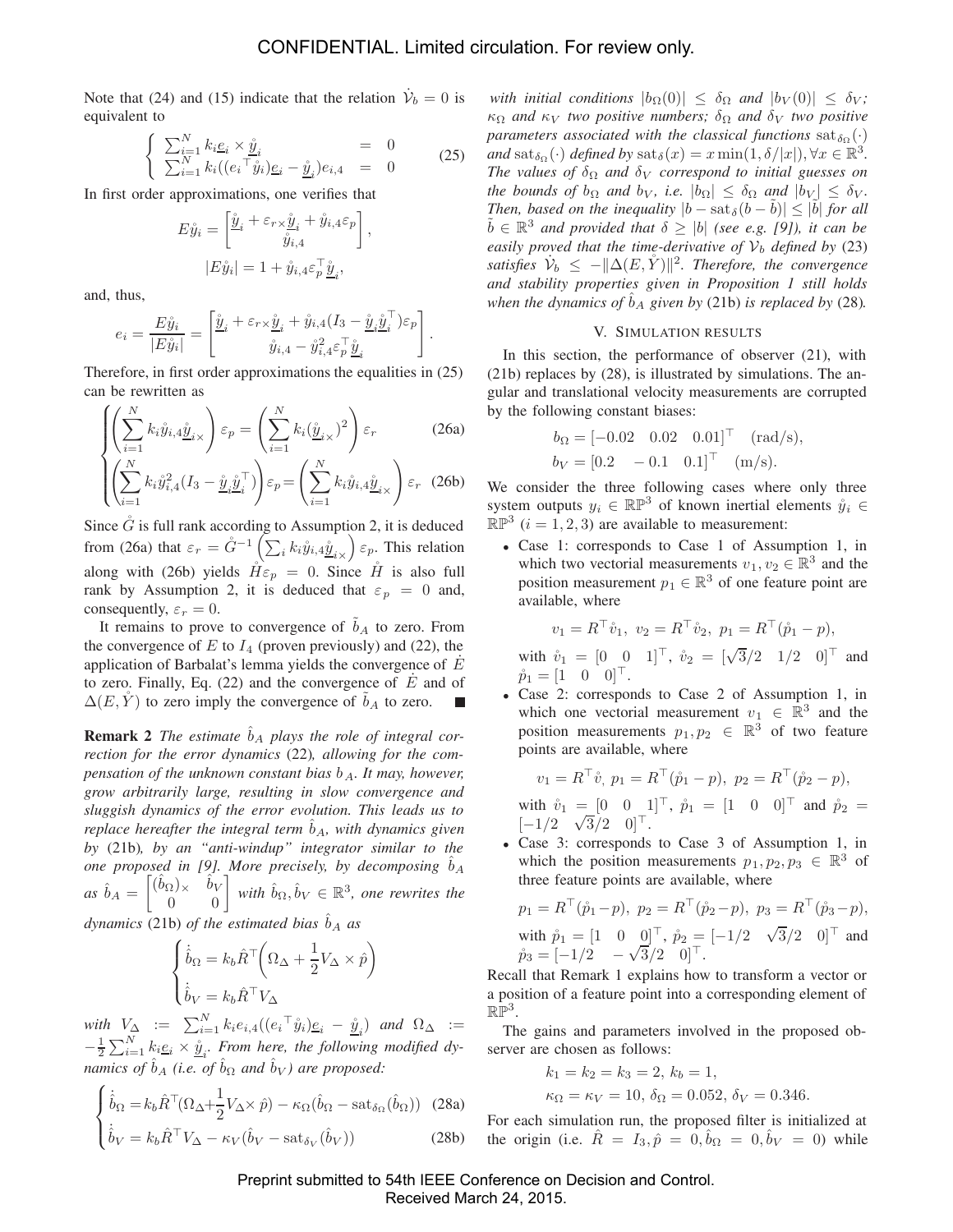Note that (24) and (15) indicate that the relation  $\dot{\mathcal{V}}_b = 0$  is equivalent to

$$
\begin{cases}\n\sum_{i=1}^{N} k_i \underline{e}_i \times \underline{\mathring{y}}_i = 0 \\
\sum_{i=1}^{N} k_i ((e_i \top \mathring{y}_i) \underline{e}_i - \underline{\mathring{y}}_i) e_{i,4} = 0\n\end{cases}
$$
\n(25)

In first order approximations, one verifies that

$$
E\hat{y}_i = \begin{bmatrix} \hat{\underline{y}}_i + \varepsilon_{r \times \hat{\underline{y}}_i} + \hat{y}_{i,4} \varepsilon_p \\ \hat{y}_{i,4} \end{bmatrix},
$$

$$
|E\hat{y}_i| = 1 + \hat{y}_{i,4} \varepsilon_p^{\top} \hat{\underline{y}}_i,
$$

and, thus,

$$
e_i = \frac{E\mathring{y}_i}{|E\mathring{y}_i|} = \begin{bmatrix} \mathring{\underline{y}}_i + \varepsilon_{r \times \mathring{\underline{y}}_i} + \mathring{y}_{i,4} (I_3 - \mathring{\underline{y}}_i \mathring{\underline{y}}_i^\top) \varepsilon_p \\ \mathring{y}_{i,4} - \mathring{y}_{i,4}^2 \varepsilon_p^\top \mathring{\underline{y}}_i \end{bmatrix}.
$$

Therefore, in first order approximations the equalities in (25) can be rewritten as

$$
\left\{ \left( \sum_{i=1}^{N} k_i \mathring{y}_{i,4} \mathring{\underline{y}}_{i \times} \right) \varepsilon_p = \left( \sum_{i=1}^{N} k_i (\mathring{\underline{y}}_{i \times})^2 \right) \varepsilon_r \right\}
$$
 (26a)

$$
\left( \left( \sum_{i=1}^{N} k_i \mathring{y}_{i,4}^2 (I_3 - \mathring{\underline{y}}_i \mathring{\underline{y}}_i^\top) \right) \varepsilon_p = \left( \sum_{i=1}^{N} k_i \mathring{y}_{i,4} \mathring{\underline{y}}_{i \times} \right) \varepsilon_r \quad (26b)
$$

Since  $\tilde{G}$  is full rank according to Assumption 2, it is deduced from (26a) that  $\varepsilon_r = \mathring{G}^{-1} \left( \sum_i k_i \mathring{y}_{i,4} \mathring{\underline{y}}_{i,\chi} \right) \varepsilon_{p}$ . This relation along with (26b) yields  $\tilde{H}\varepsilon_p = 0$ . Since  $\tilde{H}$  is also full rank by Assumption 2, it is deduced that  $\varepsilon_p = 0$  and, consequently,  $\varepsilon_r = 0$ .

It remains to prove to convergence of  $b<sub>A</sub>$  to zero. From the convergence of  $E$  to  $I_4$  (proven previously) and (22), the application of Barbalat's lemma yields the convergence of  $E$ to zero. Finally, Eq. (22) and the convergence of  $\dot{E}$  and of  $\Delta(E, \mathring{Y})$  to zero imply the convergence of  $\tilde{b}_A$  to zero.

**Remark 2** *The estimate*  $\hat{b}_A$  *plays the role of integral correction for the error dynamics* (22)*, allowing for the compensation of the unknown constant bias*  $b_A$ *. It may, however, grow arbitrarily large, resulting in slow convergence and sluggish dynamics of the error evolution. This leads us to replace hereafter the integral term*  $\hat{b}_A$ *, with dynamics given by* (21b)*, by an "anti-windup" integrator similar to the one proposed in [9]. More precisely, by decomposing*  $\hat{b}_A$  $\hat{b}_A = \begin{bmatrix} (\hat{b}_\Omega) \times & \hat{b}_V \\ 0 & 0 \end{bmatrix}$  with  $\hat{b}_\Omega, \hat{b}_V \in \mathbb{R}^3$ , one rewrites the

*dynamics* (21b) *of the estimated bias*  $\hat{b}_A$  *as* 

$$
\begin{cases} \dot{\hat{b}}_{\Omega} = k_b \hat{R}^\top \left( \Omega_{\Delta} + \frac{1}{2} V_{\Delta} \times \hat{p} \right) \\ \dot{\hat{b}}_{V} = k_b \hat{R}^\top V_{\Delta} \end{cases}
$$

 $with \ \ V_{\Delta} \ \ := \ \ \sum_{i=1}^{N} k_i e_{i,4}((e_i^{\top} \mathring{y}_i)\underline{e}_i \ - \ \mathring{y}_i) \ \ and \ \ \Omega_{\Delta} \ \ :=$  $-\frac{1}{2}\sum_{i=1}^{N} k_i e_i \times \hat{y}_i$ . From here, the following modified dy*namics of*  $\hat{b}_A$  *(i.e. of*  $\hat{b}_\Omega$  *and*  $\hat{b}_V$ *) are proposed:* 

$$
\begin{cases} \dot{\hat{b}}_{\Omega} = k_b \hat{R}^{\top} (\Omega_{\Delta} + \frac{1}{2} V_{\Delta} \times \hat{p}) - \kappa_{\Omega} (\hat{b}_{\Omega} - \text{sat}_{\delta_{\Omega}} (\hat{b}_{\Omega})) \quad (28a) \\ \dot{\hat{b}}_{V} = k_b \hat{R}^{\top} V_{\Delta} - \kappa_{V} (\hat{b}_{V} - \text{sat}_{\delta_{V}} (\hat{b}_{V})) \end{cases}
$$
 (28b)

*with initial conditions*  $|b_{\Omega}(0)| \leq \delta_{\Omega}$  *and*  $|b_{V}(0)| \leq \delta_{V}$ ;  $\kappa_{\Omega}$  *and*  $\kappa_{V}$  *two positive numbers;*  $\delta_{\Omega}$  *and*  $\delta_{V}$  *two positive parameters associated with the classical functions*  $\text{sat}_{\delta_{\Omega}}(\cdot)$ *and*  $\text{sat}_{\delta_{\Omega}}(\cdot)$  *defined by*  $\text{sat}_{\delta}(x) = x \min(1, \delta/|x|), \forall x \in \mathbb{R}^{3}$ . *The values of*  $\delta_{\Omega}$  *and*  $\delta_{V}$  *correspond to initial guesses on the bounds of*  $b_{\Omega}$  *and*  $b_{V}$ *, i.e.*  $|b_{\Omega}| \leq \delta_{\Omega}$  *and*  $|b_{V}| \leq \delta_{V}$ *. Then, based on the inequality*  $|b - \text{sat}_{\delta}(b - b)| \leq |b|$  *for all*  $\tilde{b} \in \mathbb{R}^3$  *and provided that*  $\delta \geq |b|$  *(see e.g. [9]), it can be easily proved that the time-derivative of*  $V_b$  *defined by* (23) satisfies  $\dot{\mathcal{V}}_b \leq -\|\Delta(E,\mathring{Y})\|^2$ . Therefore, the convergence *and stability properties given in Proposition 1 still holds when the dynamics of*  $\hat{b}_A$  *given by* (21b) *is replaced by* (28)*.* 

## V. SIMULATION RESULTS

In this section, the performance of observer (21), with (21b) replaces by (28), is illustrated by simulations. The angular and translational velocity measurements are corrupted by the following constant biases:

$$
b_{\Omega} = [-0.02 \quad 0.02 \quad 0.01]^{\top} \quad (\text{rad/s}),
$$
  
 $b_{V} = [0.2 \quad -0.1 \quad 0.1]^{\top} \quad (\text{m/s}).$ 

We consider the three following cases where only three system outputs  $y_i \in \mathbb{RP}^3$  of known inertial elements  $\mathring{y}_i \in$  $\mathbb{RP}^3$  (i = 1, 2, 3) are available to measurement:

• Case 1: corresponds to Case 1 of Assumption 1, in which two vectorial measurements  $v_1, v_2 \in \mathbb{R}^3$  and the position measurement  $p_1 \in \mathbb{R}^3$  of one feature point are available, where

$$
v_1 = R^{\top} \mathring{v}_1, \ v_2 = R^{\top} \mathring{v}_2, \ p_1 = R^{\top} (\mathring{p}_1 - p),
$$

with  $\mathring{v}_1 = \begin{bmatrix} 0 & 0 & 1 \end{bmatrix}^\top$ ,  $\mathring{v}_2 = \begin{bmatrix} \sqrt{3}/2 & 1/2 & 0 \end{bmatrix}^\top$  and  $\hat{p}_1 = [1 \ 0 \ 0]^{\top}.$ 

• Case 2: corresponds to Case 2 of Assumption 1, in which one vectorial measurement  $v_1 \in \mathbb{R}^3$  and the position measurements  $p_1, p_2 \in \mathbb{R}^3$  of two feature points are available, where

$$
v_1 = R^{\top} \mathring{v}, \ p_1 = R^{\top} (\mathring{p}_1 - p), \ p_2 = R^{\top} (\mathring{p}_2 - p),
$$
  
with 
$$
\mathring{v}_1 = [0 \quad 0 \quad 1]^{\top}, \ \mathring{p}_1 = [1 \quad 0 \quad 0]^{\top} \text{ and } \mathring{p}_2 = [-1/2 \quad \sqrt{3}/2 \quad 0]^{\top}.
$$

• Case 3: corresponds to Case 3 of Assumption 1, in which the position measurements  $p_1, p_2, p_3 \in \mathbb{R}^3$  of three feature points are available, where

$$
p_1 = R^{\top}(\mathring{p}_1 - p), \ p_2 = R^{\top}(\mathring{p}_2 - p), \ p_3 = R^{\top}(\mathring{p}_3 - p),
$$
  
with 
$$
\mathring{p}_1 = \begin{bmatrix} 1 & 0 & 0 \end{bmatrix}^{\top}, \ \mathring{p}_2 = \begin{bmatrix} -1/2 & \sqrt{3}/2 & 0 \end{bmatrix}^{\top} \text{ and}
$$
  

$$
\mathring{p}_3 = \begin{bmatrix} -1/2 & -\sqrt{3}/2 & 0 \end{bmatrix}^{\top}.
$$

Recall that Remark 1 explains how to transform a vector or a position of a feature point into a corresponding element of  $\mathbb{RP}^3$ .

The gains and parameters involved in the proposed observer are chosen as follows:

$$
k_1 = k_2 = k_3 = 2, k_b = 1,
$$
  
 $\kappa_{\Omega} = \kappa_V = 10, \delta_{\Omega} = 0.052, \delta_V = 0.346.$ 

For each simulation run, the proposed filter is initialized at the origin (i.e.  $\hat{R} = I_3, \hat{p} = 0, \hat{b}_{\Omega} = 0, \hat{b}_{V} = 0$ ) while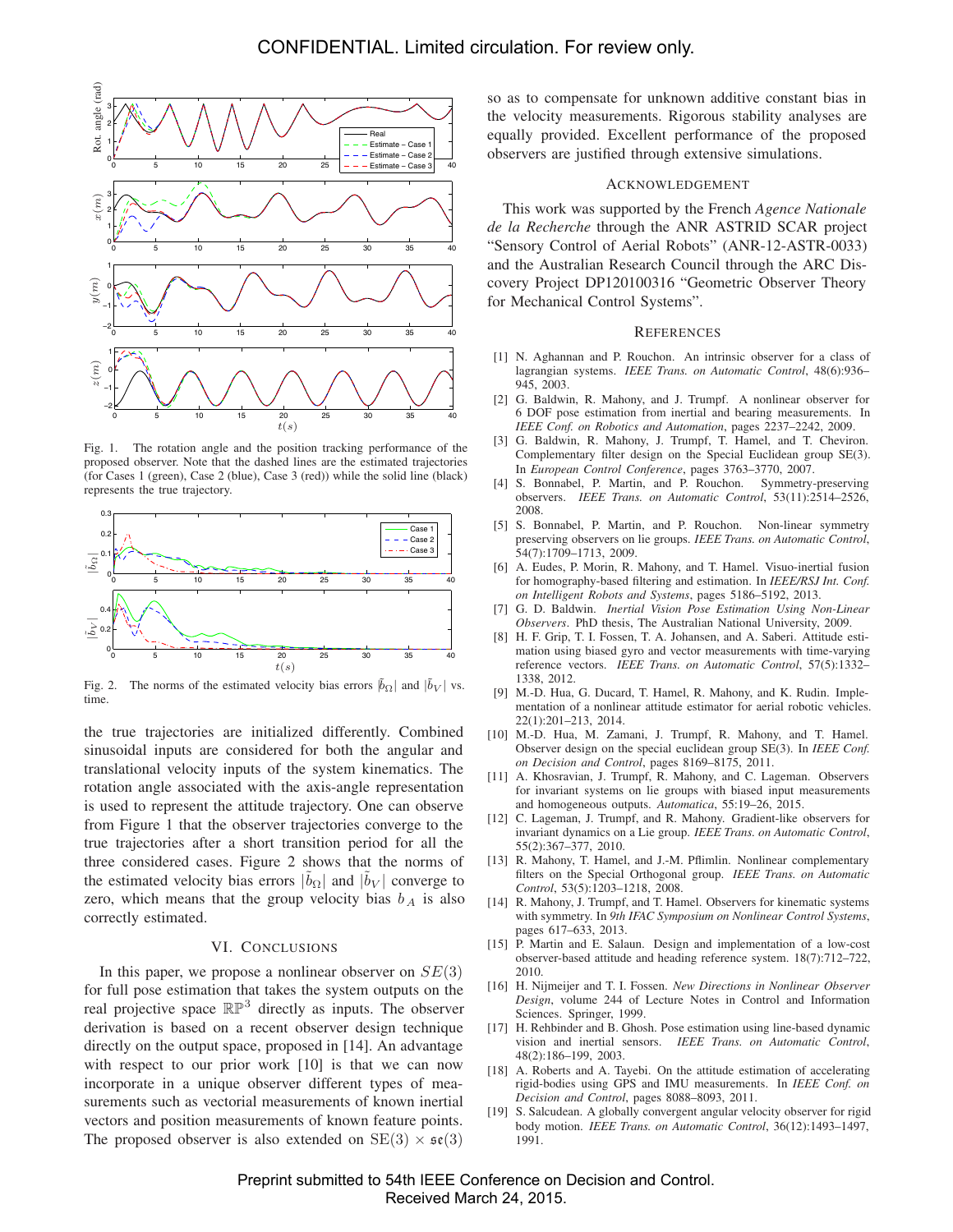

Fig. 1. The rotation angle and the position tracking performance of the proposed observer. Note that the dashed lines are the estimated trajectories (for Cases 1 (green), Case 2 (blue), Case 3 (red)) while the solid line (black) represents the true trajectory.



Fig. 2. The norms of the estimated velocity bias errors  $|\tilde{b}_{\Omega}|$  and  $|\tilde{b}_{V}|$  vs. time.

the true trajectories are initialized differently. Combined sinusoidal inputs are considered for both the angular and translational velocity inputs of the system kinematics. The rotation angle associated with the axis-angle representation is used to represent the attitude trajectory. One can observe from Figure 1 that the observer trajectories converge to the true trajectories after a short transition period for all the three considered cases. Figure 2 shows that the norms of the estimated velocity bias errors  $|\tilde{b}_{\Omega}|$  and  $|\tilde{b}_{V}|$  converge to zero, which means that the group velocity bias  $b<sub>A</sub>$  is also correctly estimated.

## VI. CONCLUSIONS

In this paper, we propose a nonlinear observer on  $SE(3)$ for full pose estimation that takes the system outputs on the real projective space  $\mathbb{RP}^3$  directly as inputs. The observer derivation is based on a recent observer design technique directly on the output space, proposed in [14]. An advantage with respect to our prior work [10] is that we can now incorporate in a unique observer different types of measurements such as vectorial measurements of known inertial vectors and position measurements of known feature points. The proposed observer is also extended on  $SE(3) \times \mathfrak{se}(3)$ 

so as to compensate for unknown additive constant bias in the velocity measurements. Rigorous stability analyses are equally provided. Excellent performance of the proposed observers are justified through extensive simulations.

### ACKNOWLEDGEMENT

This work was supported by the French *Agence Nationale de la Recherche* through the ANR ASTRID SCAR project "Sensory Control of Aerial Robots" (ANR-12-ASTR-0033) and the Australian Research Council through the ARC Discovery Project DP120100316 "Geometric Observer Theory for Mechanical Control Systems".

#### **REFERENCES**

- [1] N. Aghannan and P. Rouchon. An intrinsic observer for a class of lagrangian systems. *IEEE Trans. on Automatic Control*, 48(6):936– 945, 2003.
- [2] G. Baldwin, R. Mahony, and J. Trumpf. A nonlinear observer for 6 DOF pose estimation from inertial and bearing measurements. In *IEEE Conf. on Robotics and Automation*, pages 2237–2242, 2009.
- [3] G. Baldwin, R. Mahony, J. Trumpf, T. Hamel, and T. Cheviron. Complementary filter design on the Special Euclidean group SE(3). In *European Control Conference*, pages 3763–3770, 2007.
- [4] S. Bonnabel, P. Martin, and P. Rouchon. Symmetry-preserving observers. *IEEE Trans. on Automatic Control*, 53(11):2514–2526, 2008.
- [5] S. Bonnabel, P. Martin, and P. Rouchon. Non-linear symmetry preserving observers on lie groups. *IEEE Trans. on Automatic Control*, 54(7):1709–1713, 2009.
- [6] A. Eudes, P. Morin, R. Mahony, and T. Hamel. Visuo-inertial fusion for homography-based filtering and estimation. In *IEEE/RSJ Int. Conf. on Intelligent Robots and Systems*, pages 5186–5192, 2013.
- [7] G. D. Baldwin. *Inertial Vision Pose Estimation Using Non-Linear Observers*. PhD thesis, The Australian National University, 2009.
- [8] H. F. Grip, T. I. Fossen, T. A. Johansen, and A. Saberi. Attitude estimation using biased gyro and vector measurements with time-varying reference vectors. *IEEE Trans. on Automatic Control*, 57(5):1332– 1338, 2012.
- [9] M.-D. Hua, G. Ducard, T. Hamel, R. Mahony, and K. Rudin. Implementation of a nonlinear attitude estimator for aerial robotic vehicles. 22(1):201–213, 2014.
- [10] M.-D. Hua, M. Zamani, J. Trumpf, R. Mahony, and T. Hamel. Observer design on the special euclidean group SE(3). In *IEEE Conf. on Decision and Control*, pages 8169–8175, 2011.
- [11] A. Khosravian, J. Trumpf, R. Mahony, and C. Lageman. Observers for invariant systems on lie groups with biased input measurements and homogeneous outputs. *Automatica*, 55:19–26, 2015.
- [12] C. Lageman, J. Trumpf, and R. Mahony. Gradient-like observers for invariant dynamics on a Lie group. *IEEE Trans. on Automatic Control*, 55(2):367–377, 2010.
- [13] R. Mahony, T. Hamel, and J.-M. Pflimlin. Nonlinear complementary filters on the Special Orthogonal group. *IEEE Trans. on Automatic Control*, 53(5):1203–1218, 2008.
- [14] R. Mahony, J. Trumpf, and T. Hamel. Observers for kinematic systems with symmetry. In *9th IFAC Symposium on Nonlinear Control Systems*, pages 617–633, 2013.
- [15] P. Martin and E. Salaun. Design and implementation of a low-cost observer-based attitude and heading reference system. 18(7):712–722, 2010.
- [16] H. Nijmeijer and T. I. Fossen. *New Directions in Nonlinear Observer Design*, volume 244 of Lecture Notes in Control and Information Sciences. Springer, 1999.
- [17] H. Rehbinder and B. Ghosh. Pose estimation using line-based dynamic vision and inertial sensors. *IEEE Trans. on Automatic Control*, 48(2):186–199, 2003.
- [18] A. Roberts and A. Tayebi. On the attitude estimation of accelerating rigid-bodies using GPS and IMU measurements. In *IEEE Conf. on Decision and Control*, pages 8088–8093, 2011.
- [19] S. Salcudean. A globally convergent angular velocity observer for rigid body motion. *IEEE Trans. on Automatic Control*, 36(12):1493–1497, 1991.